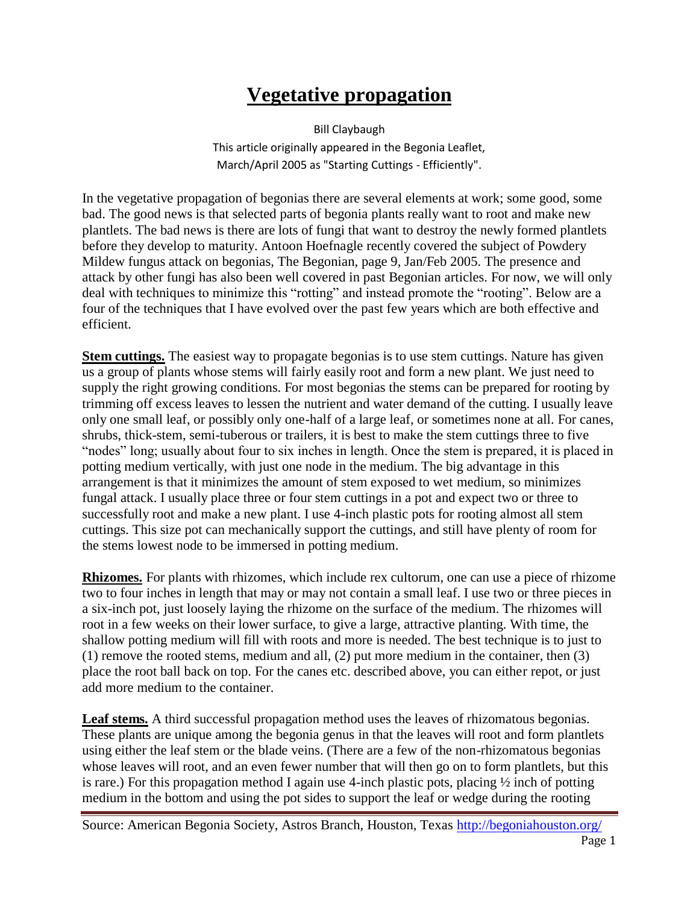## **Vegetative propagation**

Bill Claybaugh This article originally appeared in the Begonia Leaflet, March/April 2005 as "Starting Cuttings - Efficiently".

In the vegetative propagation of begonias there are several elements at work; some good, some bad. The good news is that selected parts of begonia plants really want to root and make new plantlets. The bad news is there are lots of fungi that want to destroy the newly formed plantlets before they develop to maturity. Antoon Hoefnagle recently covered the subject of Powdery Mildew fungus attack on begonias, The Begonian, page 9, Jan/Feb 2005. The presence and attack by other fungi has also been well covered in past Begonian articles. For now, we will only deal with techniques to minimize this "rotting" and instead promote the "rooting". Below are a four of the techniques that I have evolved over the past few years which are both effective and efficient.

**Stem cuttings.** The easiest way to propagate begonias is to use stem cuttings. Nature has given us a group of plants whose stems will fairly easily root and form a new plant. We just need to supply the right growing conditions. For most begonias the stems can be prepared for rooting by trimming off excess leaves to lessen the nutrient and water demand of the cutting. I usually leave only one small leaf, or possibly only one-half of a large leaf, or sometimes none at all. For canes, shrubs, thick-stem, semi-tuberous or trailers, it is best to make the stem cuttings three to five "nodes" long; usually about four to six inches in length. Once the stem is prepared, it is placed in potting medium vertically, with just one node in the medium. The big advantage in this arrangement is that it minimizes the amount of stem exposed to wet medium, so minimizes fungal attack. I usually place three or four stem cuttings in a pot and expect two or three to successfully root and make a new plant. I use 4-inch plastic pots for rooting almost all stem cuttings. This size pot can mechanically support the cuttings, and still have plenty of room for the stems lowest node to be immersed in potting medium.

**Rhizomes.** For plants with rhizomes, which include rex cultorum, one can use a piece of rhizome two to four inches in length that may or may not contain a small leaf. I use two or three pieces in a six-inch pot, just loosely laying the rhizome on the surface of the medium. The rhizomes will root in a few weeks on their lower surface, to give a large, attractive planting. With time, the shallow potting medium will fill with roots and more is needed. The best technique is to just to (1) remove the rooted stems, medium and all, (2) put more medium in the container, then (3) place the root ball back on top. For the canes etc. described above, you can either repot, or just add more medium to the container.

Leaf stems. A third successful propagation method uses the leaves of rhizomatous begonias. These plants are unique among the begonia genus in that the leaves will root and form plantlets using either the leaf stem or the blade veins. (There are a few of the non-rhizomatous begonias whose leaves will root, and an even fewer number that will then go on to form plantlets, but this is rare.) For this propagation method I again use 4-inch plastic pots, placing  $\frac{1}{2}$  inch of potting medium in the bottom and using the pot sides to support the leaf or wedge during the rooting

Source: American Begonia Society, Astros Branch, Houston, Texas<http://begoniahouston.org/> Page 1